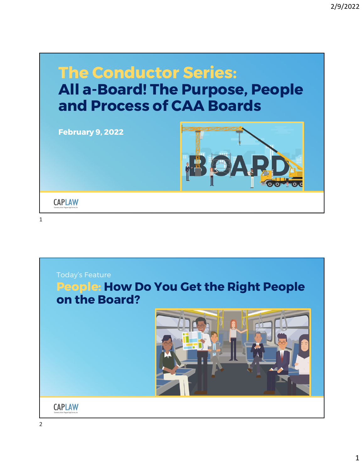

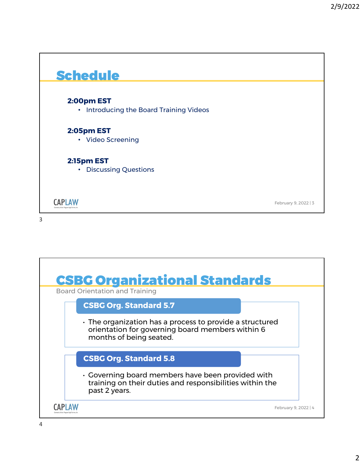

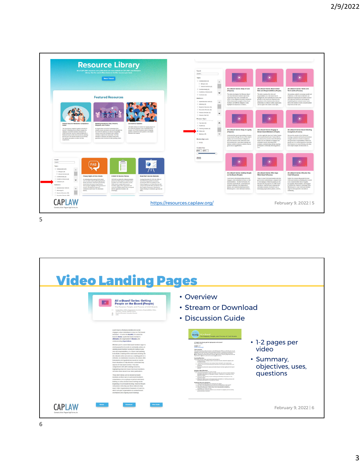

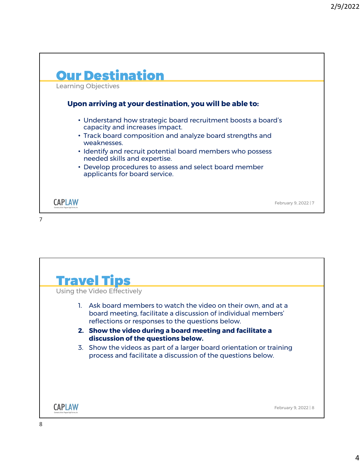

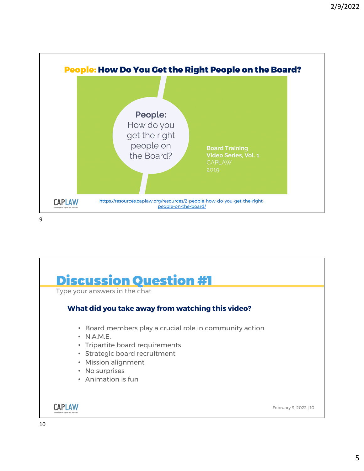

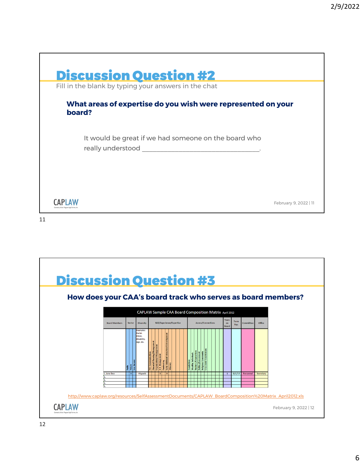



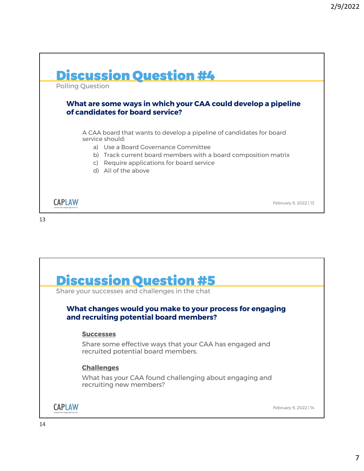



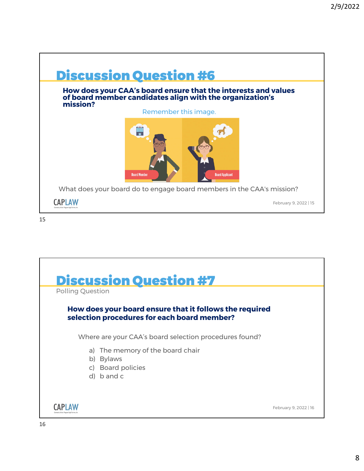



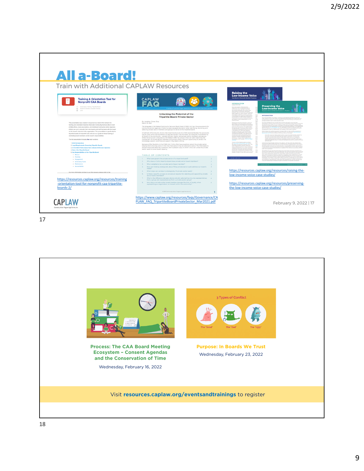